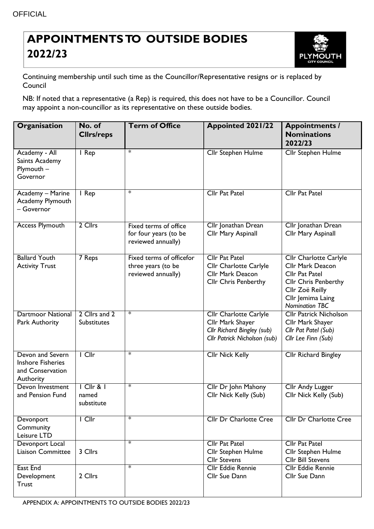## **APPOINTMENTSTO OUTSIDE BODIES 2022/23**



Continuing membership until such time as the Councillor/Representative resigns or is replaced by Council

NB: If noted that a representative (a Rep) is required, this does not have to be a Councillor. Council may appoint a non-councillor as its representative on these outside bodies.

| Organisation                                                                  | No. of<br><b>Clirs/reps</b>          | <b>Term of Office</b>                                                | <b>Appointed 2021/22</b>                                                                                        | <b>Appointments /</b><br><b>Nominations</b><br>2022/23                                                                                                              |
|-------------------------------------------------------------------------------|--------------------------------------|----------------------------------------------------------------------|-----------------------------------------------------------------------------------------------------------------|---------------------------------------------------------------------------------------------------------------------------------------------------------------------|
| Academy - All<br>Saints Academy<br>Plymouth -<br>Governor                     | I Rep                                | $\ast$                                                               | <b>Cllr Stephen Hulme</b>                                                                                       | <b>Cllr Stephen Hulme</b>                                                                                                                                           |
| Academy - Marine<br>Academy Plymouth<br>- Governor                            | I Rep                                | $\ast$                                                               | <b>Cllr Pat Patel</b>                                                                                           | <b>Cllr Pat Patel</b>                                                                                                                                               |
| Access Plymouth                                                               | 2 Cllrs                              | Fixed terms of office<br>for four years (to be<br>reviewed annually) | Cllr Jonathan Drean<br>Cllr Mary Aspinall                                                                       | Cllr Jonathan Drean<br>Cllr Mary Aspinall                                                                                                                           |
| <b>Ballard Youth</b><br><b>Activity Trust</b>                                 | 7 Reps                               | Fixed terms of officefor<br>three years (to be<br>reviewed annually) | <b>Cllr Pat Patel</b><br>Cllr Charlotte Carlyle<br>Cllr Mark Deacon<br><b>Cllr Chris Penberthy</b>              | <b>Cllr Charlotte Carlyle</b><br>Cllr Mark Deacon<br>Cllr Pat Patel<br><b>Cllr Chris Penberthy</b><br>Cllr Zoë Reilly<br>Cllr Jemima Laing<br><b>Nomination TBC</b> |
| <b>Dartmoor National</b><br>Park Authority                                    | 2 Cllrs and 2<br>Substitutes         | $\ast$                                                               | <b>Cllr Charlotte Carlyle</b><br>Cllr Mark Shayer<br>Cllr Richard Bingley (sub)<br>Cllr Patrick Nicholson (sub) | <b>Cllr Patrick Nicholson</b><br>Cllr Mark Shayer<br>Cllr Pat Patel (Sub)<br>Cllr Lee Finn (Sub)                                                                    |
| Devon and Severn<br><b>Inshore Fisheries</b><br>and Conservation<br>Authority | $I$ Cllr                             | $\ast$                                                               | Cllr Nick Kelly                                                                                                 | Cllr Richard Bingley                                                                                                                                                |
| Devon Investment<br>and Pension Fund                                          | $ C  r$ & $ $<br>named<br>substitute | $\ast$                                                               | Cllr Dr John Mahony<br>Cllr Nick Kelly (Sub)                                                                    | Cllr Andy Lugger<br>Cllr Nick Kelly (Sub)                                                                                                                           |
| Devonport<br>Community<br>Leisure LTD                                         | $I$ Cllr                             | $\ast$                                                               | <b>Cllr Dr Charlotte Cree</b>                                                                                   | <b>Cllr Dr Charlotte Cree</b>                                                                                                                                       |
| Devonport Local<br><b>Liaison Committee</b>                                   | 3 Cllrs                              | $\ast$                                                               | <b>Cllr Pat Patel</b><br><b>Cllr Stephen Hulme</b><br><b>Cllr Stevens</b>                                       | <b>Cllr Pat Patel</b><br>Cllr Stephen Hulme<br><b>Cllr Bill Stevens</b>                                                                                             |
| East End<br>Development<br>Trust                                              | 2 Cllrs                              | $\ast$                                                               | <b>Cllr Eddie Rennie</b><br>Cllr Sue Dann                                                                       | <b>Cllr Eddie Rennie</b><br>Cllr Sue Dann                                                                                                                           |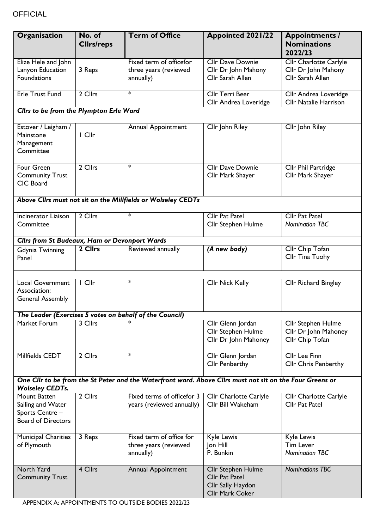| Organisation                                                                      | No. of<br><b>Clirs/reps</b>   | <b>Term of Office</b>                                                                                    | <b>Appointed 2021/22</b>                                                            | <b>Appointments /</b><br><b>Nominations</b><br>2022/23                   |
|-----------------------------------------------------------------------------------|-------------------------------|----------------------------------------------------------------------------------------------------------|-------------------------------------------------------------------------------------|--------------------------------------------------------------------------|
| Elize Hele and John<br>Lanyon Education<br><b>Foundations</b>                     | 3 Reps                        | Fixed term of officefor<br>three years (reviewed<br>annually)                                            | <b>Cllr Dave Downie</b><br>Cllr Dr John Mahony<br>Cllr Sarah Allen                  | <b>Cllr Charlotte Carlyle</b><br>Cllr Dr John Mahony<br>Cllr Sarah Allen |
| <b>Erle Trust Fund</b>                                                            | 2 Cllrs                       | $\ast$                                                                                                   | <b>Cllr Terri Beer</b><br>Cllr Andrea Loveridge                                     | Cllr Andrea Loveridge<br><b>Cllr Natalie Harrison</b>                    |
| Cllrs to be from the Plympton Erle Ward                                           |                               |                                                                                                          |                                                                                     |                                                                          |
| Estover / Leigham /<br>Mainstone<br>Management<br>Committee                       | I Cllr                        | <b>Annual Appointment</b>                                                                                | Cllr John Riley                                                                     | Cllr John Riley                                                          |
| <b>Four Green</b><br><b>Community Trust</b><br>CIC Board                          | 2 Cllrs                       | $\ast$                                                                                                   | <b>Cllr Dave Downie</b><br>Cllr Mark Shayer                                         | <b>Cllr Phil Partridge</b><br>Cllr Mark Shayer                           |
|                                                                                   |                               | Above Cllrs must not sit on the Millfields or Wolseley CEDTs                                             |                                                                                     |                                                                          |
| Incinerator Liaison<br>Committee                                                  | 2 Cllrs                       | $\ast$                                                                                                   | <b>Cllr Pat Patel</b><br>Cllr Stephen Hulme                                         | <b>Cllr Pat Patel</b><br><b>Nomination TBC</b>                           |
| <b>Clirs from St Budeaux, Ham or Devonport Wards</b>                              |                               |                                                                                                          |                                                                                     |                                                                          |
| <b>Gdynia Twinning</b><br>Panel                                                   | 2 Cllrs                       | Reviewed annually                                                                                        | (A new body)                                                                        | Cllr Chip Tofan<br>Cllr Tina Tuohy                                       |
| Local Government<br>Association:<br><b>General Assembly</b>                       | $\overline{\phantom{a}}$ Cllr | $\ast$                                                                                                   | <b>Cllr Nick Kelly</b>                                                              | <b>Cllr Richard Bingley</b>                                              |
|                                                                                   |                               | The Leader (Exercises 5 votes on behalf of the Council)                                                  |                                                                                     |                                                                          |
| <b>Market Forum</b>                                                               | 3 Cllrs                       |                                                                                                          | Cllr Glenn Jordan<br>Cllr Stephen Hulme<br>Cllr Dr John Mahoney                     | <b>Cllr Stephen Hulme</b><br>Cllr Dr John Mahoney<br>Cllr Chip Tofan     |
| Millfields CEDT                                                                   | 2 Cllrs                       | $\ast$                                                                                                   | Cllr Glenn Jordan<br><b>Cllr Penberthy</b>                                          | <b>Cllr Lee Finn</b><br><b>Cllr Chris Penberthy</b>                      |
| <b>Wolseley CEDTs.</b>                                                            |                               | One Cllr to be from the St Peter and the Waterfront ward. Above Cllrs must not sit on the Four Greens or |                                                                                     |                                                                          |
| Mount Batten<br>Sailing and Water<br>Sports Centre -<br><b>Board of Directors</b> | 2 Cllrs                       | Fixed terms of officefor 3<br>years (reviewed annually)                                                  | <b>Cllr Charlotte Carlyle</b><br>Cllr Bill Wakeham                                  | <b>Cllr Charlotte Carlyle</b><br>Cllr Pat Patel                          |
| <b>Municipal Charities</b><br>of Plymouth                                         | 3 Reps                        | Fixed term of office for<br>three years (reviewed<br>annually)                                           | Kyle Lewis<br>Jon Hill<br>P. Bunkin                                                 | Kyle Lewis<br><b>Tim Lever</b><br><b>Nomination TBC</b>                  |
| <b>North Yard</b><br><b>Community Trust</b>                                       | 4 Cllrs                       | Annual Appointment                                                                                       | Cllr Stephen Hulme<br><b>Cllr Pat Patel</b><br>Cllr Sally Haydon<br>Cllr Mark Coker | <b>Nominations TBC</b>                                                   |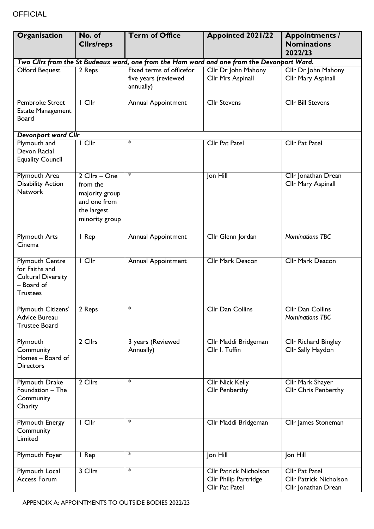## **OFFICIAL**

| Organisation                                                                                           | No. of<br><b>Clirs/reps</b>                                                                  | <b>Term of Office</b>                                         | <b>Appointed 2021/22</b>                                                                   | <b>Appointments /</b><br><b>Nominations</b><br>2022/23                        |
|--------------------------------------------------------------------------------------------------------|----------------------------------------------------------------------------------------------|---------------------------------------------------------------|--------------------------------------------------------------------------------------------|-------------------------------------------------------------------------------|
|                                                                                                        |                                                                                              |                                                               | Two Cllrs from the St Budeaux ward, one from the Ham ward and one from the Devonport Ward. |                                                                               |
| <b>Olford Bequest</b>                                                                                  | 2 Reps                                                                                       | Fixed terms of officefor<br>five years (reviewed<br>annually) | Cllr Dr John Mahony<br>Cllr Mrs Aspinall                                                   | Cllr Dr John Mahony<br>Cllr Mary Aspinall                                     |
| Pembroke Street<br><b>Estate Management</b><br><b>Board</b>                                            | $\overline{\phantom{a}}$ Cllr                                                                | Annual Appointment                                            | <b>Cllr Stevens</b>                                                                        | <b>Cllr Bill Stevens</b>                                                      |
| <b>Devonport ward Cllr</b>                                                                             |                                                                                              |                                                               |                                                                                            |                                                                               |
| Plymouth and<br>Devon Racial<br><b>Equality Council</b>                                                | I Cllr                                                                                       | $\ast$                                                        | Cllr Pat Patel                                                                             | <b>Cllr Pat Patel</b>                                                         |
| <b>Plymouth Area</b><br><b>Disability Action</b><br><b>Network</b>                                     | 2 Cllrs - One<br>from the<br>majority group<br>and one from<br>the largest<br>minority group | $\ast$                                                        | Jon Hill                                                                                   | Cllr Jonathan Drean<br>Cllr Mary Aspinall                                     |
| <b>Plymouth Arts</b><br>Cinema                                                                         | I Rep                                                                                        | Annual Appointment                                            | Cllr Glenn Jordan                                                                          | <b>Nominations TBC</b>                                                        |
| <b>Plymouth Centre</b><br>for Faiths and<br><b>Cultural Diversity</b><br>- Board of<br><b>Trustees</b> | $I$ Cllr                                                                                     | Annual Appointment                                            | <b>Cllr Mark Deacon</b>                                                                    | Cllr Mark Deacon                                                              |
| Plymouth Citizens'<br>Advice Bureau<br><b>Trustee Board</b>                                            | 2 Reps                                                                                       | $\ast$                                                        | Cllr Dan Collins                                                                           | Cllr Dan Collins<br><b>Nominations TBC</b>                                    |
| Plymouth<br>Community<br>Homes - Board of<br><b>Directors</b>                                          | 2 Cllrs                                                                                      | 3 years (Reviewed<br>Annually)                                | Cllr Maddi Bridgeman<br>Cllr I. Tuffin                                                     | Cllr Richard Bingley<br>Cllr Sally Haydon                                     |
| <b>Plymouth Drake</b><br>Foundation - The<br>Community<br>Charity                                      | 2 Cllrs                                                                                      | $\ast$                                                        | Cllr Nick Kelly<br><b>Cllr Penberthy</b>                                                   | <b>Cllr Mark Shayer</b><br><b>Cllr Chris Penberthy</b>                        |
| <b>Plymouth Energy</b><br>Community<br>Limited                                                         | $I$ Cllr                                                                                     | $\ast$                                                        | Cllr Maddi Bridgeman                                                                       | Cllr James Stoneman                                                           |
| <b>Plymouth Foyer</b>                                                                                  | I Rep                                                                                        | $\ast$                                                        | Jon Hill                                                                                   | Jon Hill                                                                      |
| <b>Plymouth Local</b><br><b>Access Forum</b>                                                           | 3 Cllrs                                                                                      | $\ast$                                                        | <b>Cllr Patrick Nicholson</b><br>Cllr Philip Partridge<br>Cllr Pat Patel                   | <b>Cllr Pat Patel</b><br><b>Cllr Patrick Nicholson</b><br>Cllr Jonathan Drean |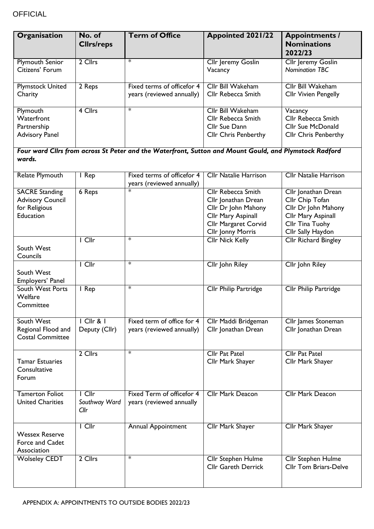| Organisation                                                                   | No. of<br><b>Clirs/reps</b>      | <b>Term of Office</b>                                                                                  | <b>Appointed 2021/22</b>                                                                                                                                 | <b>Appointments /</b><br><b>Nominations</b><br>2022/23                                                                      |
|--------------------------------------------------------------------------------|----------------------------------|--------------------------------------------------------------------------------------------------------|----------------------------------------------------------------------------------------------------------------------------------------------------------|-----------------------------------------------------------------------------------------------------------------------------|
| <b>Plymouth Senior</b><br>Citizens' Forum                                      | 2 Cllrs                          | $\ast$                                                                                                 | Cllr Jeremy Goslin<br>Vacancy                                                                                                                            | <b>Cllr Jeremy Goslin</b><br><b>Nomination TBC</b>                                                                          |
| <b>Plymstock United</b><br>Charity                                             | 2 Reps                           | Fixed terms of officefor 4<br>years (reviewed annually)                                                | Cllr Bill Wakeham<br>Cllr Rebecca Smith                                                                                                                  | <b>Cllr Bill Wakeham</b><br><b>Cllr Vivien Pengelly</b>                                                                     |
| Plymouth<br>Waterfront<br>Partnership<br><b>Advisory Panel</b>                 | 4 Cllrs                          | $\ast$                                                                                                 | Cllr Bill Wakeham<br>Cllr Rebecca Smith<br>Cllr Sue Dann<br><b>Cllr Chris Penberthy</b>                                                                  | Vacancy<br>Cllr Rebecca Smith<br><b>Cllr Sue McDonald</b><br><b>Cllr Chris Penberthy</b>                                    |
| wards.                                                                         |                                  | Four ward Clirs from across St Peter and the Waterfront, Sutton and Mount Gould, and Plymstock Radford |                                                                                                                                                          |                                                                                                                             |
| Relate Plymouth                                                                | I Rep                            | Fixed terms of officefor 4<br>years (reviewed annually)                                                | <b>Cllr Natalie Harrison</b>                                                                                                                             | <b>Cllr Natalie Harrison</b>                                                                                                |
| <b>SACRE Standing</b><br><b>Advisory Council</b><br>for Religious<br>Education | 6 Reps                           | $\ast$                                                                                                 | <b>Cllr Rebecca Smith</b><br>Cllr Jonathan Drean<br>Cllr Dr John Mahony<br>Cllr Mary Aspinall<br><b>Cllr Margaret Corvid</b><br><b>Cllr Jonny Morris</b> | Cllr Jonathan Drean<br>Cllr Chip Tofan<br>Cllr Dr John Mahony<br>Cllr Mary Aspinall<br>Cllr Tina Tuohy<br>Cllr Sally Haydon |
| South West<br>Councils                                                         | $I$ Cllr                         | $\ast$                                                                                                 | Cllr Nick Kelly                                                                                                                                          | <b>Cllr Richard Bingley</b>                                                                                                 |
| South West<br>Employers' Panel                                                 | $\overline{\phantom{a}}$ Cllr    | $\ast$                                                                                                 | Cllr John Riley                                                                                                                                          | Cllr John Riley                                                                                                             |
| South West Ports<br>Welfare<br>Committee                                       | I Rep                            | $\ast$                                                                                                 | Cllr Philip Partridge                                                                                                                                    | <b>Cllr Philip Partridge</b>                                                                                                |
| South West<br>Regional Flood and<br><b>Costal Committee</b>                    | $ C  r$ & $ $<br>Deputy (Cllr)   | Fixed term of office for 4<br>years (reviewed annually)                                                | Cllr Maddi Bridgeman<br>Cllr Jonathan Drean                                                                                                              | Cllr James Stoneman<br>Cllr Jonathan Drean                                                                                  |
| <b>Tamar Estuaries</b><br>Consultative<br>Forum                                | 2 Cllrs                          | $\ast$                                                                                                 | <b>Cllr Pat Patel</b><br>Cllr Mark Shayer                                                                                                                | <b>Cllr Pat Patel</b><br>Cllr Mark Shayer                                                                                   |
| <b>Tamerton Foliot</b><br><b>United Charities</b>                              | $I$ Cllr<br>Southway Ward<br>Clr | Fixed Term of officefor 4<br>years (reviewed annually                                                  | <b>Cllr Mark Deacon</b>                                                                                                                                  | <b>Cllr Mark Deacon</b>                                                                                                     |
| <b>Wessex Reserve</b><br>Force and Cadet<br>Association                        | I Cllr                           | <b>Annual Appointment</b>                                                                              | Cllr Mark Shayer                                                                                                                                         | Cllr Mark Shayer                                                                                                            |
| <b>Wolseley CEDT</b>                                                           | 2 Cllrs                          | $\ast$                                                                                                 | Cllr Stephen Hulme<br><b>Cllr Gareth Derrick</b>                                                                                                         | Cllr Stephen Hulme<br><b>Cllr Tom Briars-Delve</b>                                                                          |